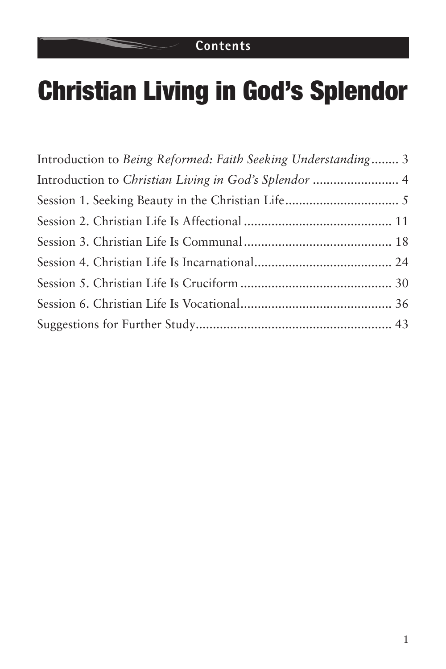### **Contents**

# Christian Living in God's Splendor

| Introduction to Being Reformed: Faith Seeking Understanding 3 |  |
|---------------------------------------------------------------|--|
| Introduction to Christian Living in God's Splendor  4         |  |
|                                                               |  |
|                                                               |  |
|                                                               |  |
|                                                               |  |
|                                                               |  |
|                                                               |  |
|                                                               |  |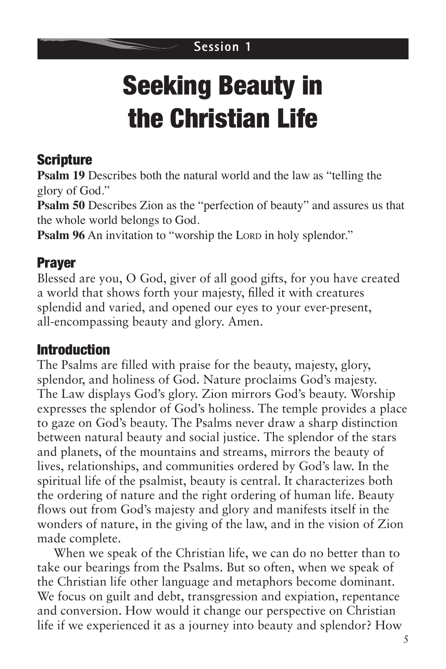# Seeking Beauty in the Christian Life

# **Scripture**

**Psalm 19** Describes both the natural world and the law as "telling the glory of God."

**Psalm 50** Describes Zion as the "perfection of beauty" and assures us that the whole world belongs to God.

**Psalm 96** An invitation to "worship the Lord in holy splendor."

# Prayer

Blessed are you, O God, giver of all good gifts, for you have created a world that shows forth your majesty, filled it with creatures splendid and varied, and opened our eyes to your ever-present, all-encompassing beauty and glory. Amen.

### Introduction

The Psalms are filled with praise for the beauty, majesty, glory, splendor, and holiness of God. Nature proclaims God's majesty. The Law displays God's glory. Zion mirrors God's beauty. Worship expresses the splendor of God's holiness. The temple provides a place to gaze on God's beauty. The Psalms never draw a sharp distinction between natural beauty and social justice. The splendor of the stars and planets, of the mountains and streams, mirrors the beauty of lives, relationships, and communities ordered by God's law. In the spiritual life of the psalmist, beauty is central. It characterizes both the ordering of nature and the right ordering of human life. Beauty flows out from God's majesty and glory and manifests itself in the wonders of nature, in the giving of the law, and in the vision of Zion made complete.

When we speak of the Christian life, we can do no better than to take our bearings from the Psalms. But so often, when we speak of the Christian life other language and metaphors become dominant. We focus on guilt and debt, transgression and expiation, repentance and conversion. How would it change our perspective on Christian life if we experienced it as a journey into beauty and splendor? How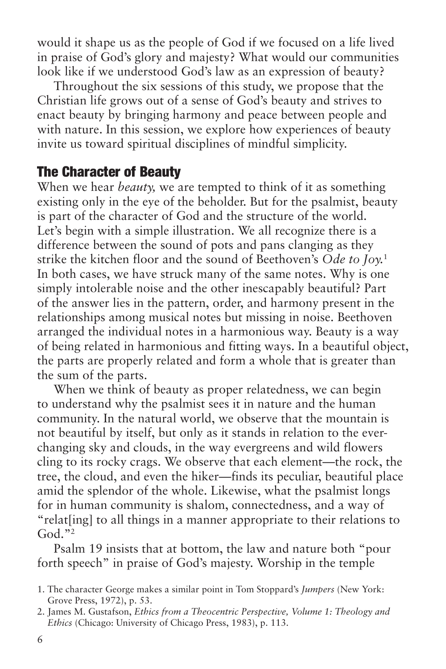would it shape us as the people of God if we focused on a life lived in praise of God's glory and majesty? What would our communities look like if we understood God's law as an expression of beauty?

Throughout the six sessions of this study, we propose that the Christian life grows out of a sense of God's beauty and strives to enact beauty by bringing harmony and peace between people and with nature. In this session, we explore how experiences of beauty invite us toward spiritual disciplines of mindful simplicity.

#### The Character of Beauty

When we hear *beauty,* we are tempted to think of it as something existing only in the eye of the beholder. But for the psalmist, beauty is part of the character of God and the structure of the world. Let's begin with a simple illustration. We all recognize there is a difference between the sound of pots and pans clanging as they strike the kitchen floor and the sound of Beethoven's *Ode to Joy.*<sup>1</sup> In both cases, we have struck many of the same notes. Why is one simply intolerable noise and the other inescapably beautiful? Part of the answer lies in the pattern, order, and harmony present in the relationships among musical notes but missing in noise. Beethoven arranged the individual notes in a harmonious way. Beauty is a way of being related in harmonious and fitting ways. In a beautiful object, the parts are properly related and form a whole that is greater than the sum of the parts.

When we think of beauty as proper relatedness, we can begin to understand why the psalmist sees it in nature and the human community. In the natural world, we observe that the mountain is not beautiful by itself, but only as it stands in relation to the everchanging sky and clouds, in the way evergreens and wild flowers cling to its rocky crags. We observe that each element—the rock, the tree, the cloud, and even the hiker—finds its peculiar, beautiful place amid the splendor of the whole. Likewise, what the psalmist longs for in human community is shalom, connectedness, and a way of "relat[ing] to all things in a manner appropriate to their relations to  $God. "2"$ 

Psalm 19 insists that at bottom, the law and nature both "pour forth speech" in praise of God's majesty. Worship in the temple

<sup>1.</sup> The character George makes a similar point in Tom Stoppard's *Jumpers* (New York: Grove Press, 1972), p. 53.

<sup>2.</sup> James M. Gustafson, *Ethics from a Theocentric Perspective, Volume 1: Theology and Ethics* (Chicago: University of Chicago Press, 1983), p. 113.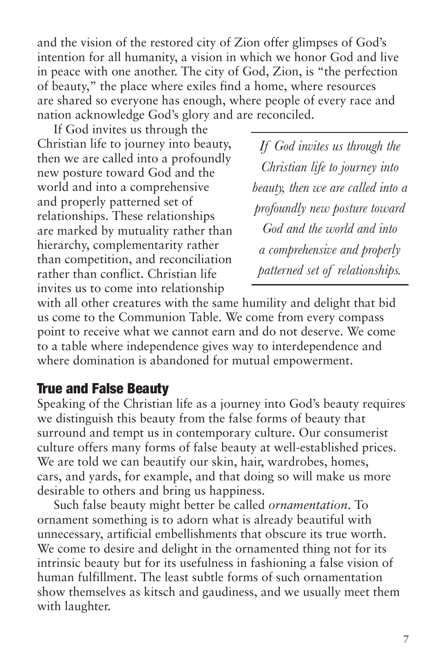and the vision of the restored city of Zion offer glimpses of God's intention for all humanity, a vision in which we honor God and live in peace with one another. The city of God, Zion, is "the perfection of beauty," the place where exiles find a home, where resources are shared so everyone has enough, where people of every race and nation acknowledge God's glory and are reconciled.

If God invites us through the Christian life to journey into beauty, then we are called into a profoundly new posture toward God and the world and into a comprehensive and properly patterned set of relationships. These relationships are marked by mutuality rather than hierarchy, complementarity rather than competition, and reconciliation rather than conflict. Christian life invites us to come into relationship

*If God invites us through the Christian life to journey into beauty, then we are called into a profoundly new posture toward God and the world and into a comprehensive and properly patterned set of relationships.*

with all other creatures with the same humility and delight that bid us come to the Communion Table. We come from every compass point to receive what we cannot earn and do not deserve. We come to a table where independence gives way to interdependence and where domination is abandoned for mutual empowerment.

#### True and False Beauty

Speaking of the Christian life as a journey into God's beauty requires we distinguish this beauty from the false forms of beauty that surround and tempt us in contemporary culture. Our consumerist culture offers many forms of false beauty at well-established prices. We are told we can beautify our skin, hair, wardrobes, homes, cars, and yards, for example, and that doing so will make us more desirable to others and bring us happiness.

Such false beauty might better be called *ornamentation*. To ornament something is to adorn what is already beautiful with unnecessary, artificial embellishments that obscure its true worth. We come to desire and delight in the ornamented thing not for its intrinsic beauty but for its usefulness in fashioning a false vision of human fulfillment. The least subtle forms of such ornamentation show themselves as kitsch and gaudiness, and we usually meet them with laughter.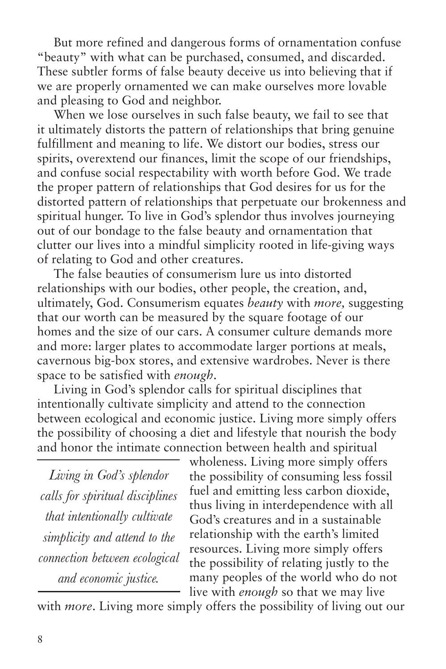But more refined and dangerous forms of ornamentation confuse "beauty" with what can be purchased, consumed, and discarded. These subtler forms of false beauty deceive us into believing that if we are properly ornamented we can make ourselves more lovable and pleasing to God and neighbor.

When we lose ourselves in such false beauty, we fail to see that it ultimately distorts the pattern of relationships that bring genuine fulfillment and meaning to life. We distort our bodies, stress our spirits, overextend our finances, limit the scope of our friendships, and confuse social respectability with worth before God. We trade the proper pattern of relationships that God desires for us for the distorted pattern of relationships that perpetuate our brokenness and spiritual hunger. To live in God's splendor thus involves journeying out of our bondage to the false beauty and ornamentation that clutter our lives into a mindful simplicity rooted in life-giving ways of relating to God and other creatures.

The false beauties of consumerism lure us into distorted relationships with our bodies, other people, the creation, and, ultimately, God. Consumerism equates *beauty* with *more,* suggesting that our worth can be measured by the square footage of our homes and the size of our cars. A consumer culture demands more and more: larger plates to accommodate larger portions at meals, cavernous big-box stores, and extensive wardrobes. Never is there space to be satisfied with *enough*.

Living in God's splendor calls for spiritual disciplines that intentionally cultivate simplicity and attend to the connection between ecological and economic justice. Living more simply offers the possibility of choosing a diet and lifestyle that nourish the body and honor the intimate connection between health and spiritual

*Living in God's splendor calls for spiritual disciplines that intentionally cultivate simplicity and attend to the connection between ecological and economic justice.*

wholeness. Living more simply offers the possibility of consuming less fossil fuel and emitting less carbon dioxide, thus living in interdependence with all God's creatures and in a sustainable relationship with the earth's limited resources. Living more simply offers the possibility of relating justly to the many peoples of the world who do not live with *enough* so that we may live

with *more*. Living more simply offers the possibility of living out our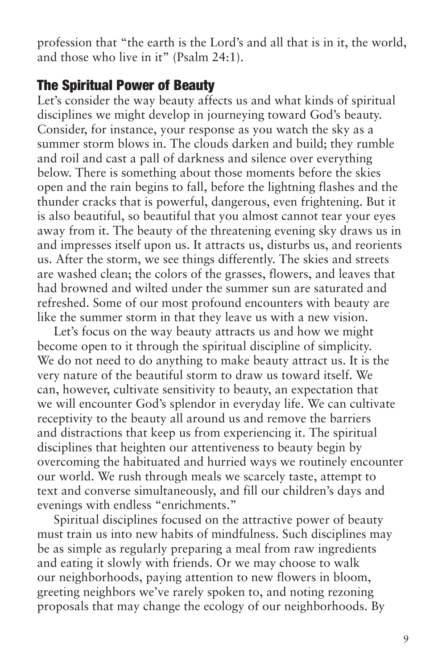profession that "the earth is the Lord's and all that is in it, the world, and those who live in it" (Psalm 24:1).

#### The Spiritual Power of Beauty

Let's consider the way beauty affects us and what kinds of spiritual disciplines we might develop in journeying toward God's beauty. Consider, for instance, your response as you watch the sky as a summer storm blows in. The clouds darken and build; they rumble and roil and cast a pall of darkness and silence over everything below. There is something about those moments before the skies open and the rain begins to fall, before the lightning flashes and the thunder cracks that is powerful, dangerous, even frightening. But it is also beautiful, so beautiful that you almost cannot tear your eyes away from it. The beauty of the threatening evening sky draws us in and impresses itself upon us. It attracts us, disturbs us, and reorients us. After the storm, we see things differently. The skies and streets are washed clean; the colors of the grasses, flowers, and leaves that had browned and wilted under the summer sun are saturated and refreshed. Some of our most profound encounters with beauty are like the summer storm in that they leave us with a new vision.

Let's focus on the way beauty attracts us and how we might become open to it through the spiritual discipline of simplicity. We do not need to do anything to make beauty attract us. It is the very nature of the beautiful storm to draw us toward itself. We can, however, cultivate sensitivity to beauty, an expectation that we will encounter God's splendor in everyday life. We can cultivate receptivity to the beauty all around us and remove the barriers and distractions that keep us from experiencing it. The spiritual disciplines that heighten our attentiveness to beauty begin by overcoming the habituated and hurried ways we routinely encounter our world. We rush through meals we scarcely taste, attempt to text and converse simultaneously, and fill our children's days and evenings with endless "enrichments."

Spiritual disciplines focused on the attractive power of beauty must train us into new habits of mindfulness. Such disciplines may be as simple as regularly preparing a meal from raw ingredients and eating it slowly with friends. Or we may choose to walk our neighborhoods, paying attention to new flowers in bloom, greeting neighbors we've rarely spoken to, and noting rezoning proposals that may change the ecology of our neighborhoods. By